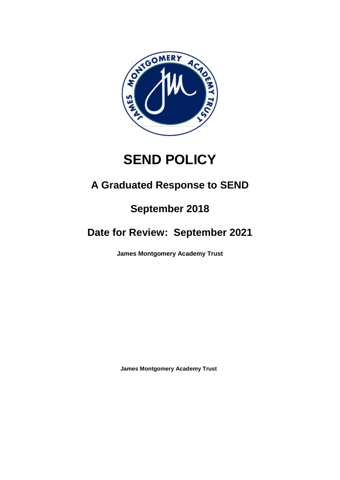

# **SEND POLICY**

# **A Graduated Response to SEND**

# **September 2018**

# **Date for Review: September 2021**

**James Montgomery Academy Trust**

**James Montgomery Academy Trust**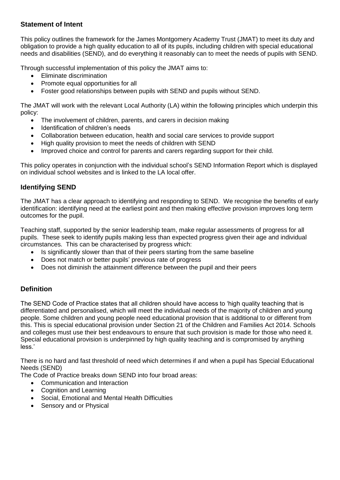# **Statement of Intent**

This policy outlines the framework for the James Montgomery Academy Trust (JMAT) to meet its duty and obligation to provide a high quality education to all of its pupils, including children with special educational needs and disabilities (SEND), and do everything it reasonably can to meet the needs of pupils with SEND.

Through successful implementation of this policy the JMAT aims to:

- Eliminate discrimination
- Promote equal opportunities for all
- Foster good relationships between pupils with SEND and pupils without SEND.

The JMAT will work with the relevant Local Authority (LA) within the following principles which underpin this policy:

- The involvement of children, parents, and carers in decision making
- Identification of children's needs
- Collaboration between education, health and social care services to provide support
- High quality provision to meet the needs of children with SEND
- Improved choice and control for parents and carers regarding support for their child.

This policy operates in conjunction with the individual school's SEND Information Report which is displayed on individual school websites and is linked to the LA local offer.

# **Identifying SEND**

The JMAT has a clear approach to identifying and responding to SEND. We recognise the benefits of early identification: identifying need at the earliest point and then making effective provision improves long term outcomes for the pupil.

Teaching staff, supported by the senior leadership team, make regular assessments of progress for all pupils. These seek to identify pupils making less than expected progress given their age and individual circumstances. This can be characterised by progress which:

- Is significantly slower than that of their peers starting from the same baseline
- Does not match or better pupils' previous rate of progress
- Does not diminish the attainment difference between the pupil and their peers

# **Definition**

The SEND Code of Practice states that all children should have access to 'high quality teaching that is differentiated and personalised, which will meet the individual needs of the majority of children and young people. Some children and young people need educational provision that is additional to or different from this. This is special educational provision under Section 21 of the Children and Families Act 2014. Schools and colleges must use their best endeavours to ensure that such provision is made for those who need it. Special educational provision is underpinned by high quality teaching and is compromised by anything less.'

There is no hard and fast threshold of need which determines if and when a pupil has Special Educational Needs (SEND)

The Code of Practice breaks down SEND into four broad areas:

- Communication and Interaction
- Cognition and Learning
- Social, Emotional and Mental Health Difficulties
- Sensory and or Physical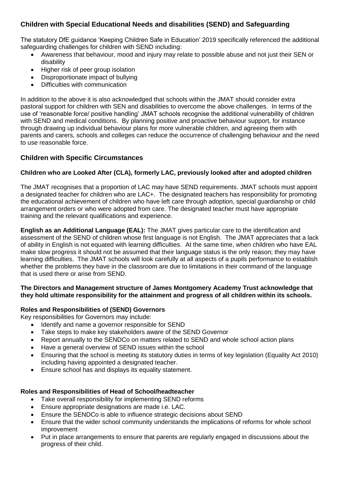# **Children with Special Educational Needs and disabilities (SEND) and Safeguarding**

The statutory DfE guidance 'Keeping Children Safe in Education' 2019 specifically referenced the additional safeguarding challenges for children with SEND including:

- Awareness that behaviour, mood and injury may relate to possible abuse and not just their SEN or disability
- Higher risk of peer group isolation
- Disproportionate impact of bullying
- Difficulties with communication

In addition to the above it is also acknowledged that schools within the JMAT should consider extra pastoral support for children with SEN and disabilities to overcome the above challenges. In terms of the use of 'reasonable force/ positive handling' JMAT schools recognise the additional vulnerability of children with SEND and medical conditions. By planning positive and proactive behaviour support, for instance through drawing up individual behaviour plans for more vulnerable children, and agreeing them with parents and carers, schools and colleges can reduce the occurrence of challenging behaviour and the need to use reasonable force.

# **Children with Specific Circumstances**

# **Children who are Looked After (CLA), formerly LAC, previously looked after and adopted children**

The JMAT recognises that a proportion of LAC may have SEND requirements. JMAT schools must appoint a designated teacher for children who are LAC+. The designated teachers has responsibility for promoting the educational achievement of children who have left care through adoption, special guardianship or child arrangement orders or who were adopted from care. The designated teacher must have appropriate training and the relevant qualifications and experience.

**English as an Additional Language (EAL):** The JMAT gives particular care to the identification and assessment of the SEND of children whose first language is not English. The JMAT appreciates that a lack of ability in English is not equated with learning difficulties. At the same time, when children who have EAL make slow progress it should not be assumed that their language status is the only reason; they may have learning difficulties. The JMAT schools will look carefully at all aspects of a pupils performance to establish whether the problems they have in the classroom are due to limitations in their command of the language that is used there or arise from SEND.

#### **The Directors and Management structure of James Montgomery Academy Trust acknowledge that they hold ultimate responsibility for the attainment and progress of all children within its schools.**

### **Roles and Responsibilities of (SEND) Governors**

Key responsibilities for Governors may include:

- Identify and name a governor responsible for SEND
- Take steps to make key stakeholders aware of the SEND Governor
- Report annually to the SENDCo on matters related to SEND and whole school action plans
- Have a general overview of SEND issues within the school
- Ensuring that the school is meeting its statutory duties in terms of key legislation (Equality Act 2010) including having appointed a designated teacher.
- Ensure school has and displays its equality statement.

### **Roles and Responsibilities of Head of School/headteacher**

- Take overall responsibility for implementing SEND reforms
- Ensure appropriate designations are made i.e. LAC.
- Ensure the SENDCo is able to influence strategic decisions about SEND
- Ensure that the wider school community understands the implications of reforms for whole school improvement
- Put in place arrangements to ensure that parents are regularly engaged in discussions about the progress of their child.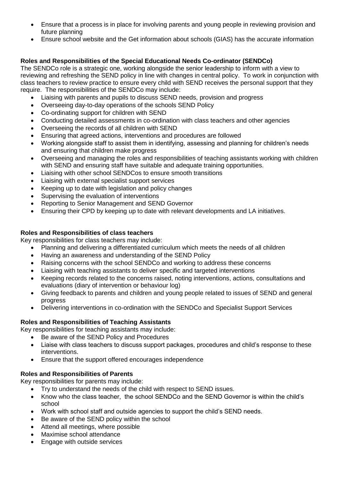- Ensure that a process is in place for involving parents and young people in reviewing provision and future planning
- Ensure school website and the Get information about schools (GIAS) has the accurate information

## **Roles and Responsibilities of the Special Educational Needs Co-ordinator (SENDCo)**

The SENDCo role is a strategic one, working alongside the senior leadership to inform with a view to reviewing and refreshing the SEND policy in line with changes in central policy. To work in conjunction with class teachers to review practice to ensure every child with SEND receives the personal support that they require. The responsibilities of the SENDCo may include:

- Liaising with parents and pupils to discuss SEND needs, provision and progress
- Overseeing day-to-day operations of the schools SEND Policy
- Co-ordinating support for children with SEND
- Conducting detailed assessments in co-ordination with class teachers and other agencies
- Overseeing the records of all children with SEND
- Ensuring that agreed actions, interventions and procedures are followed
- Working alongside staff to assist them in identifying, assessing and planning for children's needs and ensuring that children make progress
- Overseeing and managing the roles and responsibilities of teaching assistants working with children with SEND and ensuring staff have suitable and adequate training opportunities.
- Liaising with other school SENDCos to ensure smooth transitions
- Liaising with external specialist support services
- Keeping up to date with legislation and policy changes
- Supervising the evaluation of interventions
- Reporting to Senior Management and SEND Governor
- Ensuring their CPD by keeping up to date with relevant developments and LA initiatives.

#### **Roles and Responsibilities of class teachers**

Key responsibilities for class teachers may include:

- Planning and delivering a differentiated curriculum which meets the needs of all children
- Having an awareness and understanding of the SEND Policy
- Raising concerns with the school SENDCo and working to address these concerns
- Liaising with teaching assistants to deliver specific and targeted interventions
- Keeping records related to the concerns raised, noting interventions, actions, consultations and evaluations (diary of intervention or behaviour log)
- Giving feedback to parents and children and young people related to issues of SEND and general progress
- Delivering interventions in co-ordination with the SENDCo and Specialist Support Services

### **Roles and Responsibilities of Teaching Assistants**

Key responsibilities for teaching assistants may include:

- Be aware of the SEND Policy and Procedures
- Liaise with class teachers to discuss support packages, procedures and child's response to these interventions.
- Ensure that the support offered encourages independence

### **Roles and Responsibilities of Parents**

Key responsibilities for parents may include:

- Try to understand the needs of the child with respect to SEND issues.
- Know who the class teacher, the school SENDCo and the SEND Governor is within the child's school
- Work with school staff and outside agencies to support the child's SEND needs.
- Be aware of the SEND policy within the school
- Attend all meetings, where possible
- Maximise school attendance
- Engage with outside services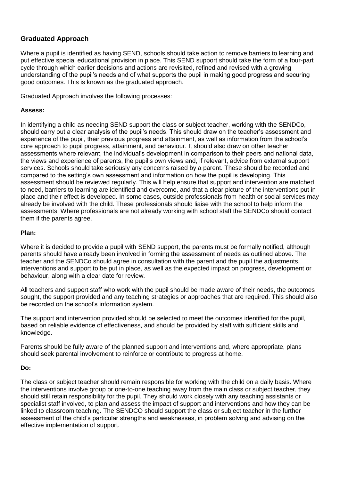# **Graduated Approach**

Where a pupil is identified as having SEND, schools should take action to remove barriers to learning and put effective special educational provision in place. This SEND support should take the form of a four-part cycle through which earlier decisions and actions are revisited, refined and revised with a growing understanding of the pupil's needs and of what supports the pupil in making good progress and securing good outcomes. This is known as the graduated approach.

Graduated Approach involves the following processes:

#### **Assess:**

In identifying a child as needing SEND support the class or subject teacher, working with the SENDCo, should carry out a clear analysis of the pupil's needs. This should draw on the teacher's assessment and experience of the pupil, their previous progress and attainment, as well as information from the school's core approach to pupil progress, attainment, and behaviour. It should also draw on other teacher assessments where relevant, the individual's development in comparison to their peers and national data, the views and experience of parents, the pupil's own views and, if relevant, advice from external support services. Schools should take seriously any concerns raised by a parent. These should be recorded and compared to the setting's own assessment and information on how the pupil is developing. This assessment should be reviewed regularly. This will help ensure that support and intervention are matched to need, barriers to learning are identified and overcome, and that a clear picture of the interventions put in place and their effect is developed. In some cases, outside professionals from health or social services may already be involved with the child. These professionals should liaise with the school to help inform the assessments. Where professionals are not already working with school staff the SENDCo should contact them if the parents agree.

#### **Plan:**

Where it is decided to provide a pupil with SEND support, the parents must be formally notified, although parents should have already been involved in forming the assessment of needs as outlined above. The teacher and the SENDCo should agree in consultation with the parent and the pupil the adjustments, interventions and support to be put in place, as well as the expected impact on progress, development or behaviour, along with a clear date for review.

All teachers and support staff who work with the pupil should be made aware of their needs, the outcomes sought, the support provided and any teaching strategies or approaches that are required. This should also be recorded on the school's information system.

The support and intervention provided should be selected to meet the outcomes identified for the pupil, based on reliable evidence of effectiveness, and should be provided by staff with sufficient skills and knowledge.

Parents should be fully aware of the planned support and interventions and, where appropriate, plans should seek parental involvement to reinforce or contribute to progress at home.

#### **Do:**

The class or subject teacher should remain responsible for working with the child on a daily basis. Where the interventions involve group or one-to-one teaching away from the main class or subject teacher, they should still retain responsibility for the pupil. They should work closely with any teaching assistants or specialist staff involved, to plan and assess the impact of support and interventions and how they can be linked to classroom teaching. The SENDCO should support the class or subject teacher in the further assessment of the child's particular strengths and weaknesses, in problem solving and advising on the effective implementation of support.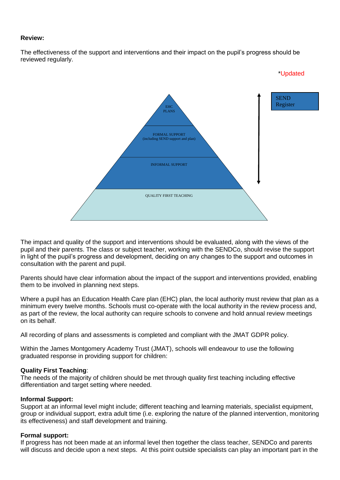#### **Review:**

The effectiveness of the support and interventions and their impact on the pupil's progress should be reviewed regularly.



The impact and quality of the support and interventions should be evaluated, along with the views of the pupil and their parents. The class or subject teacher, working with the SENDCo, should revise the support in light of the pupil's progress and development, deciding on any changes to the support and outcomes in consultation with the parent and pupil.

Parents should have clear information about the impact of the support and interventions provided, enabling them to be involved in planning next steps.

Where a pupil has an Education Health Care plan (EHC) plan, the local authority must review that plan as a minimum every twelve months. Schools must co-operate with the local authority in the review process and, as part of the review, the local authority can require schools to convene and hold annual review meetings on its behalf.

All recording of plans and assessments is completed and compliant with the JMAT GDPR policy.

Within the James Montgomery Academy Trust (JMAT), schools will endeavour to use the following graduated response in providing support for children:

#### **Quality First Teaching**:

The needs of the majority of children should be met through quality first teaching including effective differentiation and target setting where needed.

#### **Informal Support:**

Support at an informal level might include; different teaching and learning materials, specialist equipment, group or individual support, extra adult time (i.e. exploring the nature of the planned intervention, monitoring its effectiveness) and staff development and training.

#### **Formal support:**

If progress has not been made at an informal level then together the class teacher, SENDCo and parents will discuss and decide upon a next steps. At this point outside specialists can play an important part in the